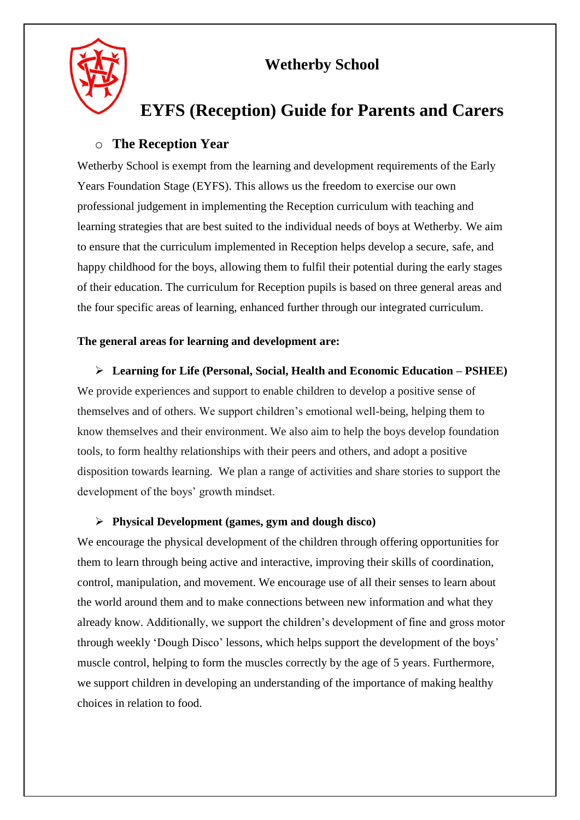



# **EYFS (Reception) Guide for Parents and Carers**

### o **The Reception Year**

Wetherby School is exempt from the learning and development requirements of the Early Years Foundation Stage (EYFS). This allows us the freedom to exercise our own professional judgement in implementing the Reception curriculum with teaching and learning strategies that are best suited to the individual needs of boys at Wetherby. We aim to ensure that the curriculum implemented in Reception helps develop a secure, safe, and happy childhood for the boys, allowing them to fulfil their potential during the early stages of their education. The curriculum for Reception pupils is based on three general areas and the four specific areas of learning, enhanced further through our integrated curriculum.

### **The general areas for learning and development are:**

 **Learning for Life (Personal, Social, Health and Economic Education – PSHEE)** We provide experiences and support to enable children to develop a positive sense of themselves and of others. We support children's emotional well-being, helping them to know themselves and their environment. We also aim to help the boys develop foundation tools, to form healthy relationships with their peers and others, and adopt a positive disposition towards learning. We plan a range of activities and share stories to support the development of the boys' growth mindset.

#### **Physical Development (games, gym and dough disco)**

We encourage the physical development of the children through offering opportunities for them to learn through being active and interactive, improving their skills of coordination, control, manipulation, and movement. We encourage use of all their senses to learn about the world around them and to make connections between new information and what they already know. Additionally, we support the children's development of fine and gross motor through weekly 'Dough Disco' lessons, which helps support the development of the boys' muscle control, helping to form the muscles correctly by the age of 5 years. Furthermore, we support children in developing an understanding of the importance of making healthy choices in relation to food.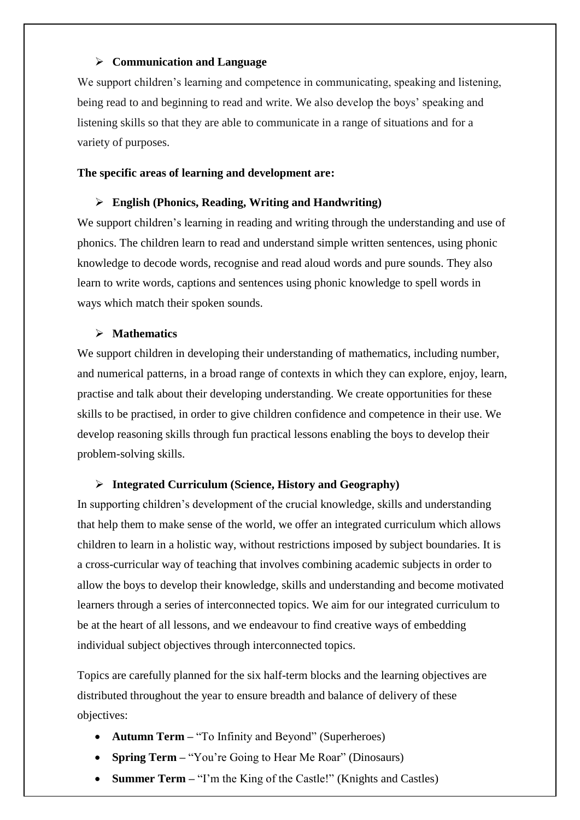#### **Communication and Language**

We support children's learning and competence in communicating, speaking and listening, being read to and beginning to read and write. We also develop the boys' speaking and listening skills so that they are able to communicate in a range of situations and for a variety of purposes.

#### **The specific areas of learning and development are:**

#### **English (Phonics, Reading, Writing and Handwriting)**

We support children's learning in reading and writing through the understanding and use of phonics. The children learn to read and understand simple written sentences, using phonic knowledge to decode words, recognise and read aloud words and pure sounds. They also learn to write words, captions and sentences using phonic knowledge to spell words in ways which match their spoken sounds.

#### **Mathematics**

We support children in developing their understanding of mathematics, including number, and numerical patterns, in a broad range of contexts in which they can explore, enjoy, learn, practise and talk about their developing understanding. We create opportunities for these skills to be practised, in order to give children confidence and competence in their use. We develop reasoning skills through fun practical lessons enabling the boys to develop their problem-solving skills.

#### **Integrated Curriculum (Science, History and Geography)**

In supporting children's development of the crucial knowledge, skills and understanding that help them to make sense of the world, we offer an integrated curriculum which allows children to learn in a holistic way, without restrictions imposed by subject boundaries. It is a cross-curricular way of teaching that involves combining academic subjects in order to allow the boys to develop their knowledge, skills and understanding and become motivated learners through a series of interconnected topics. We aim for our integrated curriculum to be at the heart of all lessons, and we endeavour to find creative ways of embedding individual subject objectives through interconnected topics.

Topics are carefully planned for the six half-term blocks and the learning objectives are distributed throughout the year to ensure breadth and balance of delivery of these objectives:

- **Autumn Term** "To Infinity and Beyond" (Superheroes)
- **Spring Term "You're Going to Hear Me Roar" (Dinosaurs)**
- **Summer Term** "I'm the King of the Castle!" (Knights and Castles)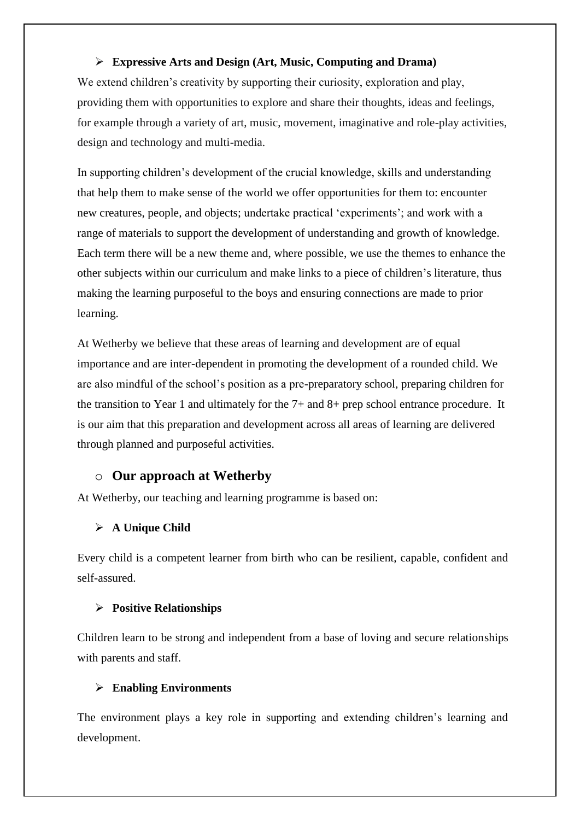### **Expressive Arts and Design (Art, Music, Computing and Drama)**

We extend children's creativity by supporting their curiosity, exploration and play, providing them with opportunities to explore and share their thoughts, ideas and feelings, for example through a variety of art, music, movement, imaginative and role-play activities, design and technology and multi-media.

In supporting children's development of the crucial knowledge, skills and understanding that help them to make sense of the world we offer opportunities for them to: encounter new creatures, people, and objects; undertake practical 'experiments'; and work with a range of materials to support the development of understanding and growth of knowledge. Each term there will be a new theme and, where possible, we use the themes to enhance the other subjects within our curriculum and make links to a piece of children's literature, thus making the learning purposeful to the boys and ensuring connections are made to prior learning.

At Wetherby we believe that these areas of learning and development are of equal importance and are inter-dependent in promoting the development of a rounded child. We are also mindful of the school's position as a pre-preparatory school, preparing children for the transition to Year 1 and ultimately for the 7+ and 8+ prep school entrance procedure. It is our aim that this preparation and development across all areas of learning are delivered through planned and purposeful activities.

### o **Our approach at Wetherby**

At Wetherby, our teaching and learning programme is based on:

### **A Unique Child**

Every child is a competent learner from birth who can be resilient, capable, confident and self-assured.

#### **Positive Relationships**

Children learn to be strong and independent from a base of loving and secure relationships with parents and staff.

#### **Enabling Environments**

The environment plays a key role in supporting and extending children's learning and development.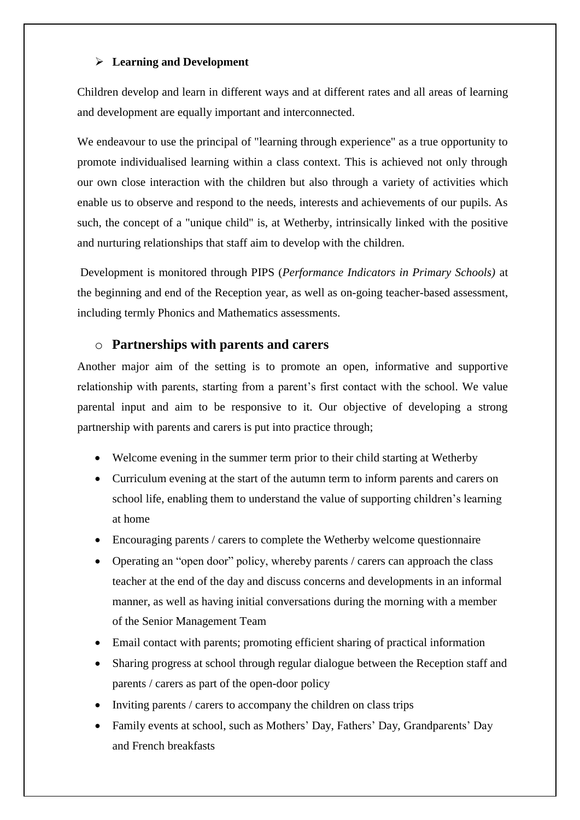### **Learning and Development**

Children develop and learn in different ways and at different rates and all areas of learning and development are equally important and interconnected.

We endeavour to use the principal of "learning through experience" as a true opportunity to promote individualised learning within a class context. This is achieved not only through our own close interaction with the children but also through a variety of activities which enable us to observe and respond to the needs, interests and achievements of our pupils. As such, the concept of a "unique child" is, at Wetherby, intrinsically linked with the positive and nurturing relationships that staff aim to develop with the children.

Development is monitored through PIPS (*Performance Indicators in Primary Schools)* at the beginning and end of the Reception year, as well as on-going teacher-based assessment, including termly Phonics and Mathematics assessments.

### o **Partnerships with parents and carers**

Another major aim of the setting is to promote an open, informative and supportive relationship with parents, starting from a parent's first contact with the school. We value parental input and aim to be responsive to it. Our objective of developing a strong partnership with parents and carers is put into practice through;

- Welcome evening in the summer term prior to their child starting at Wetherby
- Curriculum evening at the start of the autumn term to inform parents and carers on school life, enabling them to understand the value of supporting children's learning at home
- Encouraging parents / carers to complete the Wetherby welcome questionnaire
- Operating an "open door" policy, whereby parents / carers can approach the class teacher at the end of the day and discuss concerns and developments in an informal manner, as well as having initial conversations during the morning with a member of the Senior Management Team
- Email contact with parents; promoting efficient sharing of practical information
- Sharing progress at school through regular dialogue between the Reception staff and parents / carers as part of the open-door policy
- Inviting parents / carers to accompany the children on class trips
- Family events at school, such as Mothers' Day, Fathers' Day, Grandparents' Day and French breakfasts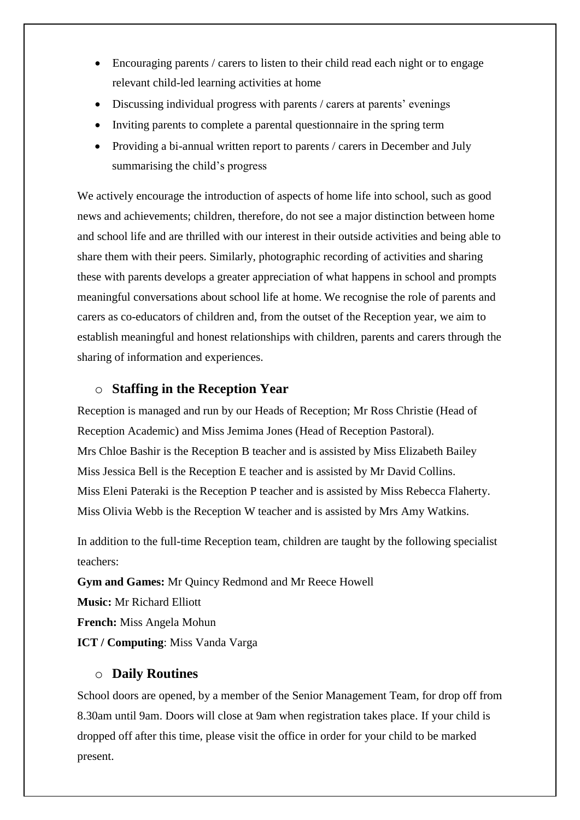- $\bullet$  Encouraging parents / carers to listen to their child read each night or to engage relevant child-led learning activities at home
- Discussing individual progress with parents / carers at parents' evenings
- Inviting parents to complete a parental questionnaire in the spring term
- Providing a bi-annual written report to parents / carers in December and July summarising the child's progress

We actively encourage the introduction of aspects of home life into school, such as good news and achievements; children, therefore, do not see a major distinction between home and school life and are thrilled with our interest in their outside activities and being able to share them with their peers. Similarly, photographic recording of activities and sharing these with parents develops a greater appreciation of what happens in school and prompts meaningful conversations about school life at home. We recognise the role of parents and carers as co-educators of children and, from the outset of the Reception year, we aim to establish meaningful and honest relationships with children, parents and carers through the sharing of information and experiences.

### o **Staffing in the Reception Year**

Reception is managed and run by our Heads of Reception; Mr Ross Christie (Head of Reception Academic) and Miss Jemima Jones (Head of Reception Pastoral). Mrs Chloe Bashir is the Reception B teacher and is assisted by Miss Elizabeth Bailey Miss Jessica Bell is the Reception E teacher and is assisted by Mr David Collins. Miss Eleni Pateraki is the Reception P teacher and is assisted by Miss Rebecca Flaherty. Miss Olivia Webb is the Reception W teacher and is assisted by Mrs Amy Watkins.

In addition to the full-time Reception team, children are taught by the following specialist teachers:

**Gym and Games:** Mr Quincy Redmond and Mr Reece Howell

**Music:** Mr Richard Elliott

**French:** Miss Angela Mohun

**ICT / Computing**: Miss Vanda Varga

### o **Daily Routines**

School doors are opened, by a member of the Senior Management Team, for drop off from 8.30am until 9am. Doors will close at 9am when registration takes place. If your child is dropped off after this time, please visit the office in order for your child to be marked present.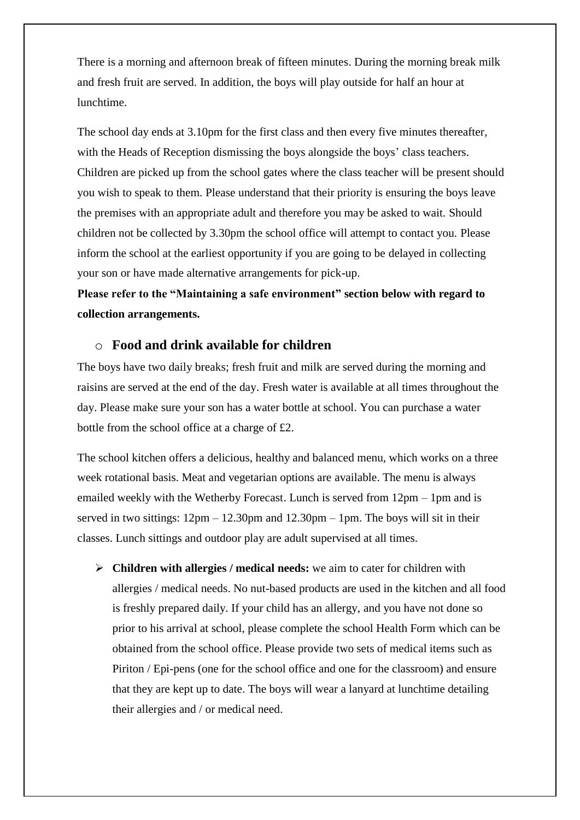There is a morning and afternoon break of fifteen minutes. During the morning break milk and fresh fruit are served. In addition, the boys will play outside for half an hour at lunchtime.

The school day ends at 3.10pm for the first class and then every five minutes thereafter, with the Heads of Reception dismissing the boys alongside the boys' class teachers. Children are picked up from the school gates where the class teacher will be present should you wish to speak to them. Please understand that their priority is ensuring the boys leave the premises with an appropriate adult and therefore you may be asked to wait. Should children not be collected by 3.30pm the school office will attempt to contact you. Please inform the school at the earliest opportunity if you are going to be delayed in collecting your son or have made alternative arrangements for pick-up.

**Please refer to the "Maintaining a safe environment" section below with regard to collection arrangements.**

#### o **Food and drink available for children**

The boys have two daily breaks; fresh fruit and milk are served during the morning and raisins are served at the end of the day. Fresh water is available at all times throughout the day. Please make sure your son has a water bottle at school. You can purchase a water bottle from the school office at a charge of £2.

The school kitchen offers a delicious, healthy and balanced menu, which works on a three week rotational basis. Meat and vegetarian options are available. The menu is always emailed weekly with the Wetherby Forecast. Lunch is served from 12pm – 1pm and is served in two sittings:  $12\text{pm} - 12.30\text{pm}$  and  $12.30\text{pm} - 1\text{pm}$ . The boys will sit in their classes. Lunch sittings and outdoor play are adult supervised at all times.

 **Children with allergies / medical needs:** we aim to cater for children with allergies / medical needs. No nut-based products are used in the kitchen and all food is freshly prepared daily. If your child has an allergy, and you have not done so prior to his arrival at school, please complete the school Health Form which can be obtained from the school office. Please provide two sets of medical items such as Piriton / Epi-pens (one for the school office and one for the classroom) and ensure that they are kept up to date. The boys will wear a lanyard at lunchtime detailing their allergies and / or medical need.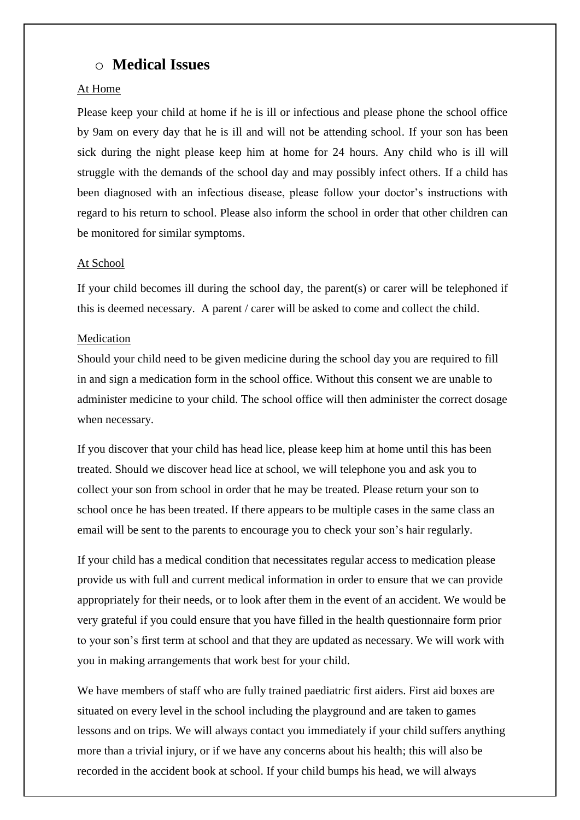## o **Medical Issues**

### At Home

Please keep your child at home if he is ill or infectious and please phone the school office by 9am on every day that he is ill and will not be attending school. If your son has been sick during the night please keep him at home for 24 hours. Any child who is ill will struggle with the demands of the school day and may possibly infect others. If a child has been diagnosed with an infectious disease, please follow your doctor's instructions with regard to his return to school. Please also inform the school in order that other children can be monitored for similar symptoms.

#### At School

If your child becomes ill during the school day, the parent(s) or carer will be telephoned if this is deemed necessary. A parent / carer will be asked to come and collect the child.

#### Medication

Should your child need to be given medicine during the school day you are required to fill in and sign a medication form in the school office. Without this consent we are unable to administer medicine to your child. The school office will then administer the correct dosage when necessary.

If you discover that your child has head lice, please keep him at home until this has been treated. Should we discover head lice at school, we will telephone you and ask you to collect your son from school in order that he may be treated. Please return your son to school once he has been treated. If there appears to be multiple cases in the same class an email will be sent to the parents to encourage you to check your son's hair regularly.

If your child has a medical condition that necessitates regular access to medication please provide us with full and current medical information in order to ensure that we can provide appropriately for their needs, or to look after them in the event of an accident. We would be very grateful if you could ensure that you have filled in the health questionnaire form prior to your son's first term at school and that they are updated as necessary. We will work with you in making arrangements that work best for your child.

We have members of staff who are fully trained paediatric first aiders. First aid boxes are situated on every level in the school including the playground and are taken to games lessons and on trips. We will always contact you immediately if your child suffers anything more than a trivial injury, or if we have any concerns about his health; this will also be recorded in the accident book at school. If your child bumps his head, we will always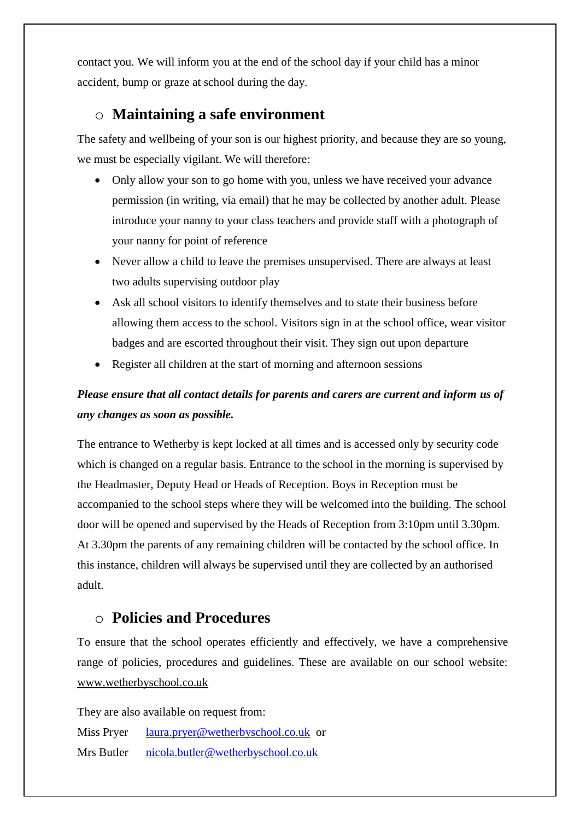contact you. We will inform you at the end of the school day if your child has a minor accident, bump or graze at school during the day.

## o **Maintaining a safe environment**

The safety and wellbeing of your son is our highest priority, and because they are so young, we must be especially vigilant. We will therefore:

- Only allow your son to go home with you, unless we have received your advance permission (in writing, via email) that he may be collected by another adult. Please introduce your nanny to your class teachers and provide staff with a photograph of your nanny for point of reference
- Never allow a child to leave the premises unsupervised. There are always at least two adults supervising outdoor play
- Ask all school visitors to identify themselves and to state their business before allowing them access to the school. Visitors sign in at the school office, wear visitor badges and are escorted throughout their visit. They sign out upon departure
- Register all children at the start of morning and afternoon sessions

## *Please ensure that all contact details for parents and carers are current and inform us of any changes as soon as possible.*

The entrance to Wetherby is kept locked at all times and is accessed only by security code which is changed on a regular basis. Entrance to the school in the morning is supervised by the Headmaster, Deputy Head or Heads of Reception. Boys in Reception must be accompanied to the school steps where they will be welcomed into the building. The school door will be opened and supervised by the Heads of Reception from 3:10pm until 3.30pm. At 3.30pm the parents of any remaining children will be contacted by the school office. In this instance, children will always be supervised until they are collected by an authorised adult.

## o **Policies and Procedures**

To ensure that the school operates efficiently and effectively, we have a comprehensive range of policies, procedures and guidelines. These are available on our school website: [www.wetherbyschool.co.uk](http://www.wetherbyschool.co.uk/)

They are also available on request from:

Miss Pryer [laura.pryer@wetherbyschool.co.uk](mailto:laura.pryer@wetherbyschool.co.uk) or

Mrs Butler [nicola.butler@wetherbyschool.co.uk](mailto:nicola.butler@wetherbyschool.co.uk)